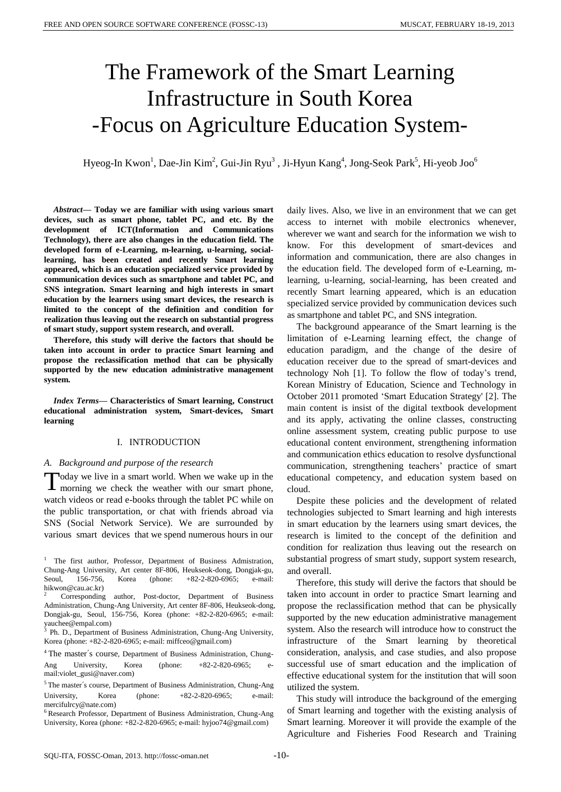# The Framework of the Smart Learning Infrastructure in South Korea -Focus on Agriculture Education System-

Hyeog-In Kwon<sup>1</sup>, Dae-Jin Kim<sup>2</sup>, Gui-Jin Ryu<sup>3</sup> , Ji-Hyun Kang<sup>4</sup>, Jong-Seok Park<sup>5</sup>, Hi-yeob Joo<sup>6</sup>

*Abstract***— Today we are familiar with using various smart devices, such as smart phone, tablet PC, and etc. By the development of ICT(Information and Communications Technology), there are also changes in the education field. The developed form of e-Learning, m-learning, u-learning, sociallearning, has been created and recently Smart learning appeared, which is an education specialized service provided by communication devices such as smartphone and tablet PC, and SNS integration. Smart learning and high interests in smart education by the learners using smart devices, the research is limited to the concept of the definition and condition for realization thus leaving out the research on substantial progress of smart study, support system research, and overall.** 

**Therefore, this study will derive the factors that should be taken into account in order to practice Smart learning and propose the reclassification method that can be physically supported by the new education administrative management system.**

*Index Terms***— Characteristics of Smart learning, Construct educational administration system, Smart-devices, Smart learning**

## I. INTRODUCTION

#### *A. Background and purpose of the research*

oday we live in a smart world. When we wake up in the morning we check the weather with our smart phone, watch videos or read e-books through the tablet PC while on the public transportation, or chat with friends abroad via SNS (Social Network Service). We are surrounded by various smart devices that we spend numerous hours in our T

<sup>4</sup>The master´s course, Department of Business Administration, Chung-Ang University, Korea (phone:  $+82-2-820-6965$ ; mail:violet\_gusi@naver.com)

<sup>6</sup> Research Professor, Department of Business Administration, Chung-Ang University, Korea (phone: +82-2-820-6965; e-mail: hyjoo74@gmail.com)

daily lives. Also, we live in an environment that we can get access to internet with mobile electronics whenever, wherever we want and search for the information we wish to know. For this development of smart-devices and information and communication, there are also changes in the education field. The developed form of e-Learning, mlearning, u-learning, social-learning, has been created and recently Smart learning appeared, which is an education specialized service provided by communication devices such as smartphone and tablet PC, and SNS integration.

The background appearance of the Smart learning is the limitation of e-Learning learning effect, the change of education paradigm, and the change of the desire of education receiver due to the spread of smart-devices and technology Noh [1]. To follow the flow of today's trend, Korean Ministry of Education, Science and Technology in October 2011 promoted 'Smart Education Strategy' [2]. The main content is insist of the digital textbook development and its apply, activating the online classes, constructing online assessment system, creating public purpose to use educational content environment, strengthening information and communication ethics education to resolve dysfunctional communication, strengthening teachers' practice of smart educational competency, and education system based on cloud.

Despite these policies and the development of related technologies subjected to Smart learning and high interests in smart education by the learners using smart devices, the research is limited to the concept of the definition and condition for realization thus leaving out the research on substantial progress of smart study, support system research, and overall.

Therefore, this study will derive the factors that should be taken into account in order to practice Smart learning and propose the reclassification method that can be physically supported by the new education administrative management system. Also the research will introduce how to construct the infrastructure of the Smart learning by theoretical consideration, analysis, and case studies, and also propose successful use of smart education and the implication of effective educational system for the institution that will soon utilized the system.

This study will introduce the background of the emerging of Smart learning and together with the existing analysis of Smart learning. Moreover it will provide the example of the Agriculture and Fisheries Food Research and Training

<sup>1</sup>The first author, Professor, Department of Business Admistration, Chung-Ang University, Art center 8F-806, Heukseok-dong, Dongjak-gu, Seoul, 156-756, Korea (phone: +82-2-820-6965; e-mail: hikwon@cau.ac.kr)

<sup>2</sup>Corresponding author, Post-doctor, Department of Business Administration, Chung-Ang University, Art center 8F-806, Heukseok-dong, Dongjak-gu, Seoul, 156-756, Korea (phone: +82-2-820-6965; e-mail: yauchee@empal.com)

 $3$  Ph. D., Department of Business Administration, Chung-Ang University, Korea (phone: +82-2-820-6965; e-mail: miffceo@gmail.com)

<sup>5</sup>The master´s course, Department of Business Administration, Chung-Ang University, Korea (phone: +82-2-820-6965; e-mail: mercifulrcy@nate.com)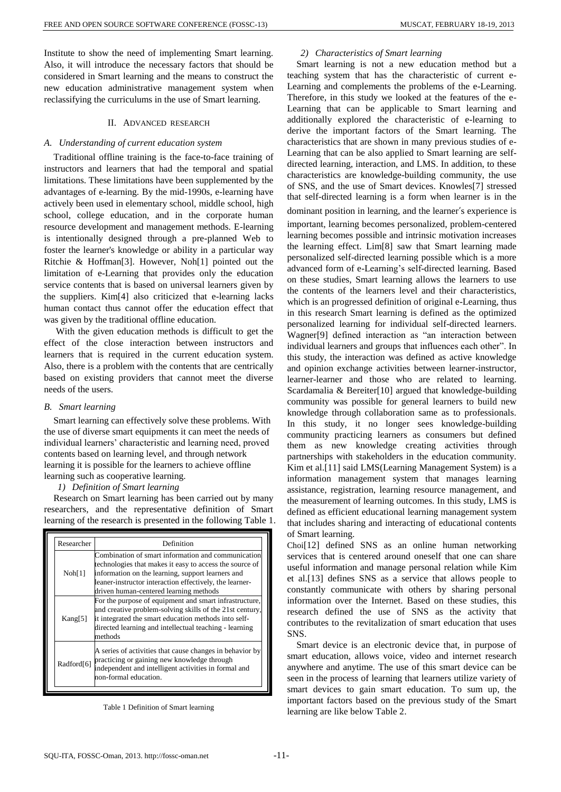Institute to show the need of implementing Smart learning. Also, it will introduce the necessary factors that should be considered in Smart learning and the means to construct the new education administrative management system when reclassifying the curriculums in the use of Smart learning.

## II. ADVANCED RESEARCH

#### *A. Understanding of current education system*

Traditional offline training is the face-to-face training of instructors and learners that had the temporal and spatial limitations. These limitations have been supplemented by the advantages of e-learning. By the mid-1990s, e-learning have actively been used in elementary school, middle school, high school, college education, and in the corporate human resource development and management methods. E-learning is intentionally designed through a pre-planned Web to foster the learner's knowledge or ability in a particular way Ritchie & Hoffman[3]. However, Noh[1] pointed out the limitation of e-Learning that provides only the education service contents that is based on universal learners given by the suppliers. Kim[4] also criticized that e-learning lacks human contact thus cannot offer the education effect that was given by the traditional offline education.

With the given education methods is difficult to get the effect of the close interaction between instructors and learners that is required in the current education system. Also, there is a problem with the contents that are centrically based on existing providers that cannot meet the diverse needs of the users.

#### *B. Smart learning*

Smart learning can effectively solve these problems. With the use of diverse smart equipments it can meet the needs of individual learners' characteristic and learning need, proved contents based on learning level, and through network learning it is possible for the learners to achieve offline learning such as cooperative learning.

#### *1) Definition of Smart learning*

Research on Smart learning has been carried out by many researchers, and the representative definition of Smart learning of the research is presented in the following Table 1.

| Researcher             | Definition                                                                                                                                                                                                                                                              |  |  |  |
|------------------------|-------------------------------------------------------------------------------------------------------------------------------------------------------------------------------------------------------------------------------------------------------------------------|--|--|--|
| Noh[1]                 | Combination of smart information and communication<br>technologies that makes it easy to access the source of<br>information on the learning, support learners and<br>leaner-instructor interaction effectively, the learner-<br>driven human-centered learning methods |  |  |  |
| Kang[5]                | For the purpose of equipment and smart infrastructure,<br>and creative problem-solving skills of the 21st century,<br>it integrated the smart education methods into self-<br>directed learning and intellectual teaching - learning<br>methods                         |  |  |  |
| Radford <sup>[6]</sup> | A series of activities that cause changes in behavior by<br>practicing or gaining new knowledge through<br>independent and intelligent activities in formal and<br>non-formal education.                                                                                |  |  |  |

Table 1 Definition of Smart learning

## *2) Characteristics of Smart learning*

Smart learning is not a new education method but a teaching system that has the characteristic of current e-Learning and complements the problems of the e-Learning. Therefore, in this study we looked at the features of the e-Learning that can be applicable to Smart learning and additionally explored the characteristic of e-learning to derive the important factors of the Smart learning. The characteristics that are shown in many previous studies of e-Learning that can be also applied to Smart learning are selfdirected learning, interaction, and LMS. In addition, to these characteristics are knowledge-building community, the use of SNS, and the use of Smart devices. Knowles[7] stressed that self-directed learning is a form when learner is in the dominant position in learning, and the learner's experience is important, learning becomes personalized, problem-centered learning becomes possible and intrinsic motivation increases the learning effect. Lim[8] saw that Smart learning made personalized self-directed learning possible which is a more advanced form of e-Learning's self-directed learning. Based on these studies, Smart learning allows the learners to use the contents of the learners level and their characteristics, which is an progressed definition of original e-Learning, thus in this research Smart learning is defined as the optimized personalized learning for individual self-directed learners. Wagner[9] defined interaction as "an interaction between individual learners and groups that influences each other". In this study, the interaction was defined as active knowledge and opinion exchange activities between learner-instructor, learner-learner and those who are related to learning. Scardamalia & Bereiter[10] argued that knowledge-building community was possible for general learners to build new knowledge through collaboration same as to professionals. In this study, it no longer sees knowledge-building community practicing learners as consumers but defined them as new knowledge creating activities through partnerships with stakeholders in the education community. Kim et al.[11] said LMS(Learning Management System) is a information management system that manages learning assistance, registration, learning resource management, and the measurement of learning outcomes. In this study, LMS is defined as efficient educational learning management system that includes sharing and interacting of educational contents of Smart learning.

Choi[12] defined SNS as an online human networking services that is centered around oneself that one can share useful information and manage personal relation while Kim et al.[13] defines SNS as a service that allows people to constantly communicate with others by sharing personal information over the Internet. Based on these studies, this research defined the use of SNS as the activity that contributes to the revitalization of smart education that uses SNS.

Smart device is an electronic device that, in purpose of smart education, allows voice, video and internet research anywhere and anytime. The use of this smart device can be seen in the process of learning that learners utilize variety of smart devices to gain smart education. To sum up, the important factors based on the previous study of the Smart learning are like below Table 2.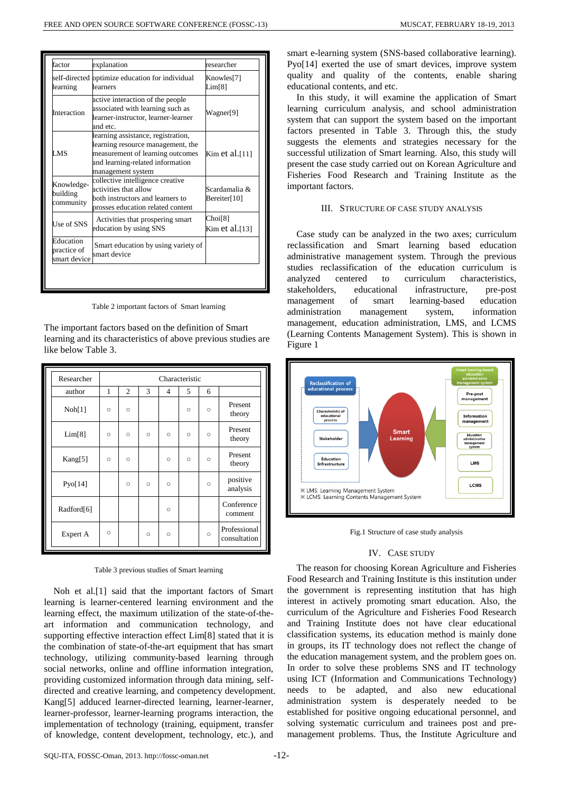| factor                                   | explanation                                                                                                                                                          | researcher                    |
|------------------------------------------|----------------------------------------------------------------------------------------------------------------------------------------------------------------------|-------------------------------|
| learning                                 | self-directed optimize education for individual<br>learners                                                                                                          | Knowles[7]<br>Lim[8]          |
| Interaction                              | active interaction of the people<br>associated with learning such as<br>learner-instructor, learner-learner<br>and etc.                                              | Wagner[9]                     |
| LMS                                      | learning assistance, registration,<br>learning resource management, the<br>measurement of learning outcomes<br>and learning-related information<br>management system | Kim et al.[11]                |
| Knowledge-<br>building<br>community      | collective intelligence creative<br>activities that allow<br>both instructors and learners to<br>prosses education related content                                   | Scardamalia &<br>Bereiter[10] |
| Use of SNS                               | Activities that prospering smart<br>education by using SNS                                                                                                           | Choi[8]<br>Kim et al.[13]     |
| Education<br>practice of<br>smart device | Smart education by using variety of<br>smart device                                                                                                                  |                               |

Table 2 important factors of Smart learning

The important factors based on the definition of Smart learning and its characteristics of above previous studies are like below Table 3.

| Researcher             | Characteristic |                |         |         |         |         |                              |  |
|------------------------|----------------|----------------|---------|---------|---------|---------|------------------------------|--|
| author                 | 1              | $\overline{c}$ | 3       | 4       | 5       | 6       |                              |  |
| Noh[1]                 | $\circ$        | $\circ$        |         |         | $\circ$ | $\circ$ | Present<br>theory            |  |
| Lim[8]                 | $\circ$        | $\circ$        | $\circ$ | $\circ$ | $\circ$ | $\circ$ | Present<br>theory            |  |
| Kang[5]                | $\circ$        | $\circ$        |         | $\circ$ | $\circ$ | $\circ$ | Present<br>theory            |  |
| P <sub>YO</sub> [14]   |                | $\circ$        | $\circ$ | $\circ$ |         | $\circ$ | positive<br>analysis         |  |
| Radford <sup>[6]</sup> |                |                |         | $\circ$ |         |         | Conference<br>comment        |  |
| Expert A               | $\circ$        |                | $\circ$ | $\circ$ |         | $\circ$ | Professional<br>consultation |  |

Table 3 previous studies of Smart learning

Noh et al.[1] said that the important factors of Smart learning is learner-centered learning environment and the learning effect, the maximum utilization of the state-of-theart information and communication technology, and supporting effective interaction effect Lim[8] stated that it is the combination of state-of-the-art equipment that has smart technology, utilizing community-based learning through social networks, online and offline information integration, providing customized information through data mining, selfdirected and creative learning, and competency development. Kang[5] adduced learner-directed learning, learner-learner, learner-professor, learner-learning programs interaction, the implementation of technology (training, equipment, transfer of knowledge, content development, technology, etc.), and

smart e-learning system (SNS-based collaborative learning). Pyo[14] exerted the use of smart devices, improve system quality and quality of the contents, enable sharing educational contents, and etc.

In this study, it will examine the application of Smart learning curriculum analysis, and school administration system that can support the system based on the important factors presented in Table 3. Through this, the study suggests the elements and strategies necessary for the successful utilization of Smart learning. Also, this study will present the case study carried out on Korean Agriculture and Fisheries Food Research and Training Institute as the important factors.

#### III. STRUCTURE OF CASE STUDY ANALYSIS

Case study can be analyzed in the two axes; curriculum reclassification and Smart learning based education administrative management system. Through the previous studies reclassification of the education curriculum is analyzed centered to curriculum characteristics, stakeholders, educational infrastructure, pre-post management of smart learning-based education administration management system, information management, education administration, LMS, and LCMS (Learning Contents Management System). This is shown in Figure 1



Fig.1 Structure of case study analysis

## IV. CASE STUDY

The reason for choosing Korean Agriculture and Fisheries Food Research and Training Institute is this institution under the government is representing institution that has high interest in actively promoting smart education. Also, the curriculum of the Agriculture and Fisheries Food Research and Training Institute does not have clear educational classification systems, its education method is mainly done in groups, its IT technology does not reflect the change of the education management system, and the problem goes on. In order to solve these problems SNS and IT technology using ICT (Information and Communications Technology) needs to be adapted, and also new educational administration system is desperately needed to be established for positive ongoing educational personnel, and solving systematic curriculum and trainees post and premanagement problems. Thus, the Institute Agriculture and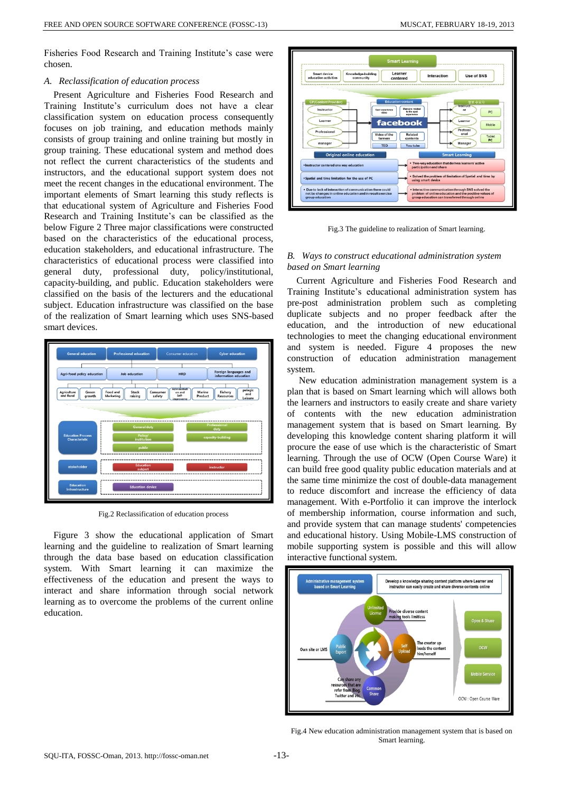Fisheries Food Research and Training Institute's case were chosen.

## *A. Reclassification of education process*

Present Agriculture and Fisheries Food Research and Training Institute's curriculum does not have a clear classification system on education process consequently focuses on job training, and education methods mainly consists of group training and online training but mostly in group training. These educational system and method does not reflect the current characteristics of the students and instructors, and the educational support system does not meet the recent changes in the educational environment. The important elements of Smart learning this study reflects is that educational system of Agriculture and Fisheries Food Research and Training Institute's can be classified as the below Figure 2 Three major classifications were constructed based on the characteristics of the educational process, education stakeholders, and educational infrastructure. The characteristics of educational process were classified into general duty, professional duty, policy/institutional, capacity-building, and public. Education stakeholders were classified on the basis of the lecturers and the educational subject. Education infrastructure was classified on the base of the realization of Smart learning which uses SNS-based smart devices.



Fig.2 Reclassification of education process

Figure 3 show the educational application of Smart learning and the guideline to realization of Smart learning through the data base based on education classification system. With Smart learning it can maximize the effectiveness of the education and present the ways to interact and share information through social network learning as to overcome the problems of the current online education.



Fig.3 The guideline to realization of Smart learning.

## *B. Ways to construct educational administration system based on Smart learning*

Current Agriculture and Fisheries Food Research and Training Institute's educational administration system has pre-post administration problem such as completing duplicate subjects and no proper feedback after the education, and the introduction of new educational technologies to meet the changing educational environment and system is needed. Figure 4 proposes the new construction of education administration management system.

New education administration management system is a plan that is based on Smart learning which will allows both the learners and instructors to easily create and share variety of contents with the new education administration management system that is based on Smart learning. By developing this knowledge content sharing platform it will procure the ease of use which is the characteristic of Smart learning. Through the use of OCW (Open Course Ware) it can build free good quality public education materials and at the same time minimize the cost of double-data management to reduce discomfort and increase the efficiency of data management. With e-Portfolio it can improve the interlock of membership information, course information and such, and provide system that can manage students' competencies and educational history. Using Mobile-LMS construction of mobile supporting system is possible and this will allow interactive functional system.



Fig.4 New education administration management system that is based on Smart learning.